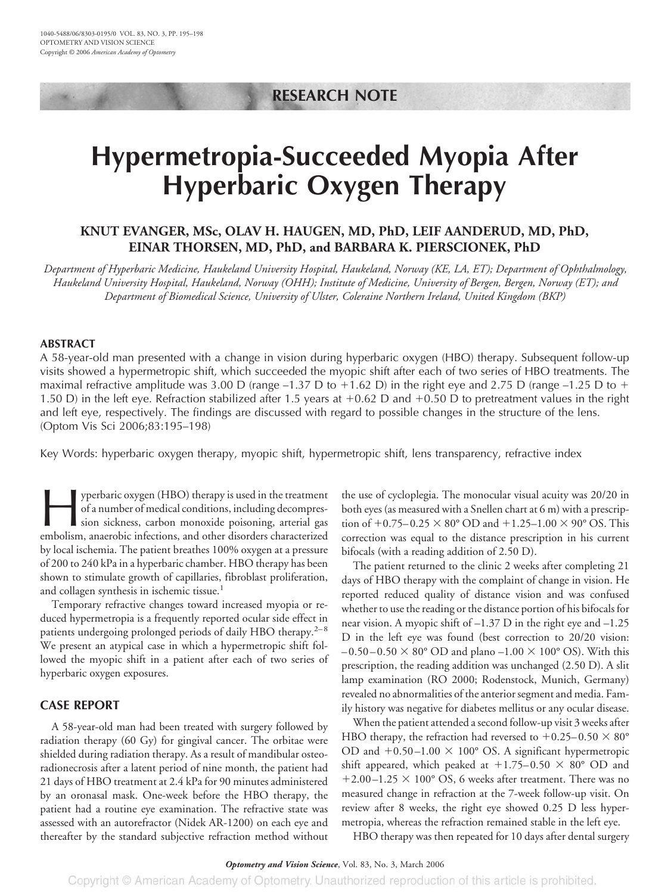# **RESEARCH NOTE**

# **Hypermetropia-Succeeded Myopia After Hyperbaric Oxygen Therapy**

# **KNUT EVANGER, MSc, OLAV H. HAUGEN, MD, PhD, LEIF AANDERUD, MD, PhD, EINAR THORSEN, MD, PhD, and BARBARA K. PIERSCIONEK, PhD**

*Department of Hyperbaric Medicine, Haukeland University Hospital, Haukeland, Norway (KE, LA, ET); Department of Ophthalmology, Haukeland University Hospital, Haukeland, Norway (OHH); Institute of Medicine, University of Bergen, Bergen, Norway (ET); and Department of Biomedical Science, University of Ulster, Coleraine Northern Ireland, United Kingdom (BKP)*

## **ABSTRACT**

A 58-year-old man presented with a change in vision during hyperbaric oxygen (HBO) therapy. Subsequent follow-up visits showed a hypermetropic shift, which succeeded the myopic shift after each of two series of HBO treatments. The maximal refractive amplitude was 3.00 D (range  $-1.37$  D to  $+1.62$  D) in the right eye and 2.75 D (range  $-1.25$  D to  $+$ 1.50 D) in the left eye. Refraction stabilized after 1.5 years at  $+0.62$  D and  $+0.50$  D to pretreatment values in the right and left eye, respectively. The findings are discussed with regard to possible changes in the structure of the lens. (Optom Vis Sci 2006;83:195–198)

Key Words: hyperbaric oxygen therapy, myopic shift, hypermetropic shift, lens transparency, refractive index

yperbaric oxygen (HBO) therapy is used in the treatment<br>of a number of medical conditions, including decompres-<br>sion sickness, carbon monoxide poisoning, arterial gas<br>embolism, anaerobic infections, and other disorders cha of a number of medical conditions, including decompression sickness, carbon monoxide poisoning, arterial gas embolism, anaerobic infections, and other disorders characterized by local ischemia. The patient breathes 100% oxygen at a pressure of 200 to 240 kPa in a hyperbaric chamber. HBO therapy has been shown to stimulate growth of capillaries, fibroblast proliferation, and collagen synthesis in ischemic tissue.<sup>1</sup>

Temporary refractive changes toward increased myopia or reduced hypermetropia is a frequently reported ocular side effect in patients undergoing prolonged periods of daily HBO therapy. $2^{-8}$ We present an atypical case in which a hypermetropic shift followed the myopic shift in a patient after each of two series of hyperbaric oxygen exposures.

# **CASE REPORT**

A 58-year-old man had been treated with surgery followed by radiation therapy (60 Gy) for gingival cancer. The orbitae were shielded during radiation therapy. As a result of mandibular osteoradionecrosis after a latent period of nine month, the patient had 21 days of HBO treatment at 2.4 kPa for 90 minutes administered by an oronasal mask. One-week before the HBO therapy, the patient had a routine eye examination. The refractive state was assessed with an autorefractor (Nidek AR-1200) on each eye and thereafter by the standard subjective refraction method without the use of cycloplegia. The monocular visual acuity was 20/20 in both eyes (as measured with a Snellen chart at 6 m) with a prescription of  $+0.75-0.25 \times 80^{\circ}$  OD and  $+1.25-1.00 \times 90^{\circ}$  OS. This correction was equal to the distance prescription in his current bifocals (with a reading addition of 2.50 D).

The patient returned to the clinic 2 weeks after completing 21 days of HBO therapy with the complaint of change in vision. He reported reduced quality of distance vision and was confused whether to use the reading or the distance portion of his bifocals for near vision. A myopic shift of –1.37 D in the right eye and –1.25 D in the left eye was found (best correction to 20/20 vision:  $-0.50$  –  $0.50 \times 80^{\circ}$  OD and plano –1.00  $\times$  100° OS). With this prescription, the reading addition was unchanged (2.50 D). A slit lamp examination (RO 2000; Rodenstock, Munich, Germany) revealed no abnormalities of the anterior segment and media. Family history was negative for diabetes mellitus or any ocular disease.

When the patient attended a second follow-up visit 3 weeks after HBO therapy, the refraction had reversed to  $+0.25-0.50 \times 80^{\circ}$ OD and  $+0.50$  –1.00  $\times$  100° OS. A significant hypermetropic shift appeared, which peaked at  $+1.75-0.50 \times 80^{\circ}$  OD and  $+2.00-1.25 \times 100^{\circ}$  OS, 6 weeks after treatment. There was no measured change in refraction at the 7-week follow-up visit. On review after 8 weeks, the right eye showed 0.25 D less hypermetropia, whereas the refraction remained stable in the left eye.

HBO therapy was then repeated for 10 days after dental surgery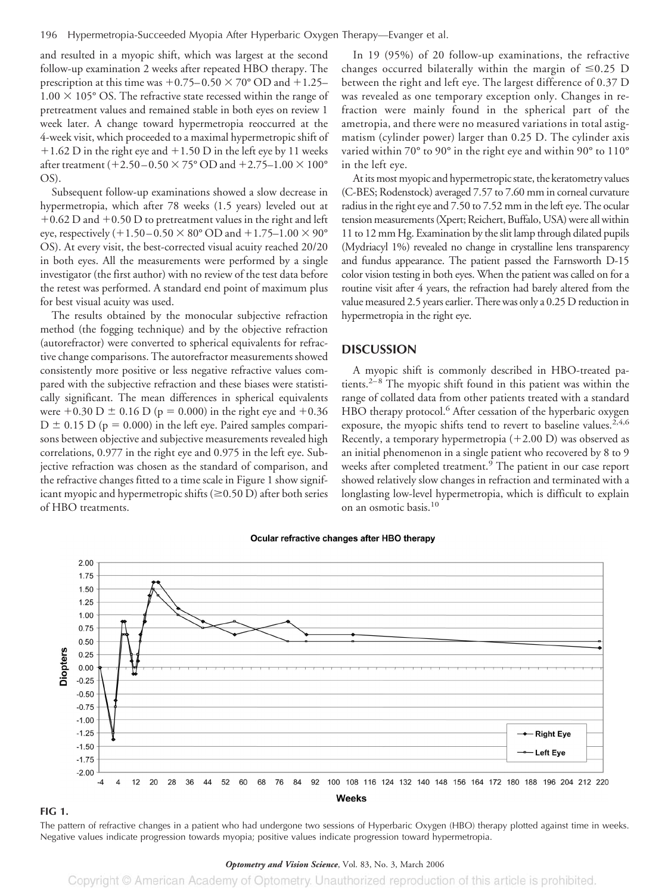and resulted in a myopic shift, which was largest at the second follow-up examination 2 weeks after repeated HBO therapy. The prescription at this time was  $+0.75-0.50 \times 70^{\circ}$  OD and  $+1.25 1.00 \times 105^{\circ}$  OS. The refractive state recessed within the range of pretreatment values and remained stable in both eyes on review 1 week later. A change toward hypermetropia reoccurred at the 4-week visit, which proceeded to a maximal hypermetropic shift of  $+1.62$  D in the right eye and  $+1.50$  D in the left eye by 11 weeks after treatment (+2.50–0.50  $\times$  75° OD and +2.75–1.00  $\times$  100° OS).

Subsequent follow-up examinations showed a slow decrease in hypermetropia, which after 78 weeks (1.5 years) leveled out at  $+0.62$  D and  $+0.50$  D to pretreatment values in the right and left eye, respectively  $(+1.50-0.50 \times 80^{\circ} \text{ OD}$  and  $+1.75-1.00 \times 90^{\circ}$ OS). At every visit, the best-corrected visual acuity reached 20/20 in both eyes. All the measurements were performed by a single investigator (the first author) with no review of the test data before the retest was performed. A standard end point of maximum plus for best visual acuity was used.

The results obtained by the monocular subjective refraction method (the fogging technique) and by the objective refraction (autorefractor) were converted to spherical equivalents for refractive change comparisons. The autorefractor measurements showed consistently more positive or less negative refractive values compared with the subjective refraction and these biases were statistically significant. The mean differences in spherical equivalents were  $+0.30$  D  $\pm$  0.16 D (p = 0.000) in the right eye and  $+0.36$  $D \pm 0.15$  D (p = 0.000) in the left eye. Paired samples comparisons between objective and subjective measurements revealed high correlations, 0.977 in the right eye and 0.975 in the left eye. Subjective refraction was chosen as the standard of comparison, and the refractive changes fitted to a time scale in Figure 1 show significant myopic and hypermetropic shifts ( $\geq$ 0.50 D) after both series of HBO treatments.

In 19 (95%) of 20 follow-up examinations, the refractive changes occurred bilaterally within the margin of  $\leq 0.25$  D between the right and left eye. The largest difference of 0.37 D was revealed as one temporary exception only. Changes in refraction were mainly found in the spherical part of the ametropia, and there were no measured variations in total astigmatism (cylinder power) larger than 0.25 D. The cylinder axis varied within 70° to 90° in the right eye and within 90° to 110° in the left eye.

At its most myopic and hypermetropic state, the keratometry values (C-BES; Rodenstock) averaged 7.57 to 7.60 mm in corneal curvature radius in the right eye and 7.50 to 7.52 mm in the left eye. The ocular tension measurements (Xpert; Reichert, Buffalo, USA) were all within 11 to 12 mm Hg. Examination by the slit lamp through dilated pupils (Mydriacyl 1%) revealed no change in crystalline lens transparency and fundus appearance. The patient passed the Farnsworth D-15 color vision testing in both eyes. When the patient was called on for a routine visit after 4 years, the refraction had barely altered from the value measured 2.5 years earlier. There was only a 0.25 D reduction in hypermetropia in the right eye.

## **DISCUSSION**

A myopic shift is commonly described in HBO-treated patients.2–8 The myopic shift found in this patient was within the range of collated data from other patients treated with a standard HBO therapy protocol.<sup>6</sup> After cessation of the hyperbaric oxygen exposure, the myopic shifts tend to revert to baseline values.<sup>2,4,6</sup> Recently, a temporary hypermetropia  $(+2.00 \text{ D})$  was observed as an initial phenomenon in a single patient who recovered by 8 to 9 weeks after completed treatment.<sup>9</sup> The patient in our case report showed relatively slow changes in refraction and terminated with a longlasting low-level hypermetropia, which is difficult to explain on an osmotic basis.10



#### Ocular refractive changes after HBO therapy

#### **FIG 1.**

The pattern of refractive changes in a patient who had undergone two sessions of Hyperbaric Oxygen (HBO) therapy plotted against time in weeks. Negative values indicate progression towards myopia; positive values indicate progression toward hypermetropia.

#### *Optometry and Vision Science*, Vol. 83, No. 3, March 2006

Copyright © American Academy of Optometry. Unauthorized reproduction of this article is prohibited.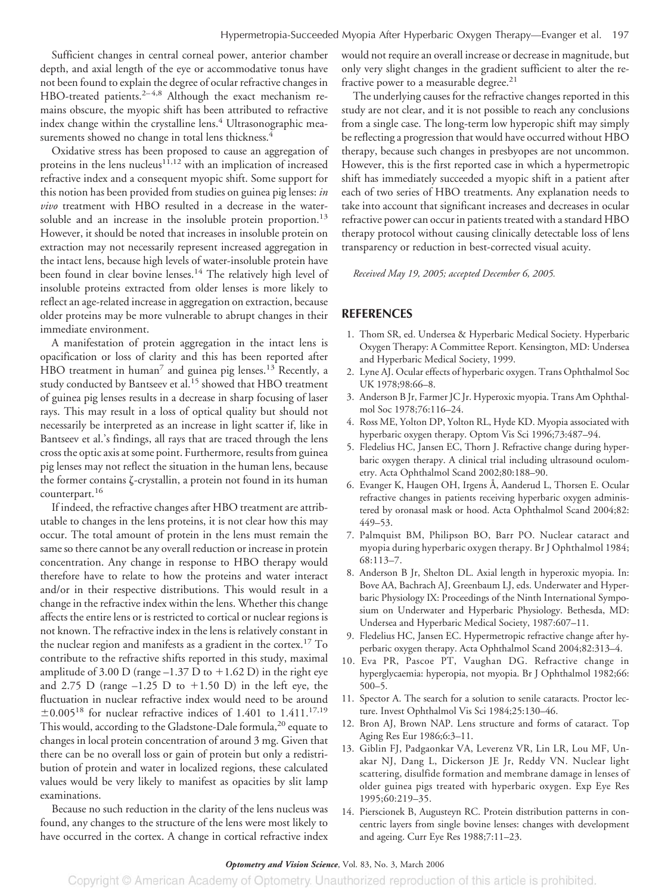Sufficient changes in central corneal power, anterior chamber depth, and axial length of the eye or accommodative tonus have not been found to explain the degree of ocular refractive changes in HBO-treated patients.<sup>2-4,8</sup> Although the exact mechanism remains obscure, the myopic shift has been attributed to refractive index change within the crystalline lens.<sup>4</sup> Ultrasonographic measurements showed no change in total lens thickness.<sup>4</sup>

Oxidative stress has been proposed to cause an aggregation of proteins in the lens nucleus<sup>11,12</sup> with an implication of increased refractive index and a consequent myopic shift. Some support for this notion has been provided from studies on guinea pig lenses: *in vivo* treatment with HBO resulted in a decrease in the watersoluble and an increase in the insoluble protein proportion.<sup>13</sup> However, it should be noted that increases in insoluble protein on extraction may not necessarily represent increased aggregation in the intact lens, because high levels of water-insoluble protein have been found in clear bovine lenses.<sup>14</sup> The relatively high level of insoluble proteins extracted from older lenses is more likely to reflect an age-related increase in aggregation on extraction, because older proteins may be more vulnerable to abrupt changes in their immediate environment.

A manifestation of protein aggregation in the intact lens is opacification or loss of clarity and this has been reported after HBO treatment in human<sup>7</sup> and guinea pig lenses.<sup>13</sup> Recently, a study conducted by Bantseev et al.<sup>15</sup> showed that HBO treatment of guinea pig lenses results in a decrease in sharp focusing of laser rays. This may result in a loss of optical quality but should not necessarily be interpreted as an increase in light scatter if, like in Bantseev et al.'s findings, all rays that are traced through the lens cross the optic axis at some point. Furthermore, results from guinea pig lenses may not reflect the situation in the human lens, because the former contains  $\zeta$ -crystallin, a protein not found in its human counterpart.<sup>16</sup>

If indeed, the refractive changes after HBO treatment are attributable to changes in the lens proteins, it is not clear how this may occur. The total amount of protein in the lens must remain the same so there cannot be any overall reduction or increase in protein concentration. Any change in response to HBO therapy would therefore have to relate to how the proteins and water interact and/or in their respective distributions. This would result in a change in the refractive index within the lens. Whether this change affects the entire lens or is restricted to cortical or nuclear regions is not known. The refractive index in the lens is relatively constant in the nuclear region and manifests as a gradient in the cortex.<sup>17</sup> To contribute to the refractive shifts reported in this study, maximal amplitude of 3.00 D (range  $-1.37$  D to  $+1.62$  D) in the right eye and 2.75 D (range  $-1.25$  D to  $+1.50$  D) in the left eye, the fluctuation in nuclear refractive index would need to be around  $\pm 0.005^{18}$  for nuclear refractive indices of 1.401 to 1.411.<sup>17,19</sup> This would, according to the Gladstone-Dale formula,<sup>20</sup> equate to changes in local protein concentration of around 3 mg. Given that there can be no overall loss or gain of protein but only a redistribution of protein and water in localized regions, these calculated values would be very likely to manifest as opacities by slit lamp examinations.

Because no such reduction in the clarity of the lens nucleus was found, any changes to the structure of the lens were most likely to have occurred in the cortex. A change in cortical refractive index would not require an overall increase or decrease in magnitude, but only very slight changes in the gradient sufficient to alter the refractive power to a measurable degree. $21$ 

The underlying causes for the refractive changes reported in this study are not clear, and it is not possible to reach any conclusions from a single case. The long-term low hyperopic shift may simply be reflecting a progression that would have occurred without HBO therapy, because such changes in presbyopes are not uncommon. However, this is the first reported case in which a hypermetropic shift has immediately succeeded a myopic shift in a patient after each of two series of HBO treatments. Any explanation needs to take into account that significant increases and decreases in ocular refractive power can occur in patients treated with a standard HBO therapy protocol without causing clinically detectable loss of lens transparency or reduction in best-corrected visual acuity.

*Received May 19, 2005; accepted December 6, 2005.*

# **REFERENCES**

- 1. Thom SR, ed. Undersea & Hyperbaric Medical Society. Hyperbaric Oxygen Therapy: A Committee Report. Kensington, MD: Undersea and Hyperbaric Medical Society, 1999.
- 2. Lyne AJ. Ocular effects of hyperbaric oxygen. Trans Ophthalmol Soc UK 1978;98:66–8.
- 3. Anderson B Jr, Farmer JC Jr. Hyperoxic myopia. Trans Am Ophthalmol Soc 1978;76:116–24.
- 4. Ross ME, Yolton DP, Yolton RL, Hyde KD. Myopia associated with hyperbaric oxygen therapy. Optom Vis Sci 1996;73:487–94.
- 5. Fledelius HC, Jansen EC, Thorn J. Refractive change during hyperbaric oxygen therapy. A clinical trial including ultrasound oculometry. Acta Ophthalmol Scand 2002;80:188–90.
- 6. Evanger K, Haugen OH, Irgens Å, Aanderud L, Thorsen E. Ocular refractive changes in patients receiving hyperbaric oxygen administered by oronasal mask or hood. Acta Ophthalmol Scand 2004;82: 449–53.
- 7. Palmquist BM, Philipson BO, Barr PO. Nuclear cataract and myopia during hyperbaric oxygen therapy. Br J Ophthalmol 1984; 68:113–7.
- 8. Anderson B Jr, Shelton DL. Axial length in hyperoxic myopia. In: Bove AA, Bachrach AJ, Greenbaum LJ, eds. Underwater and Hyperbaric Physiology IX: Proceedings of the Ninth International Symposium on Underwater and Hyperbaric Physiology. Bethesda, MD: Undersea and Hyperbaric Medical Society, 1987:607–11.
- 9. Fledelius HC, Jansen EC. Hypermetropic refractive change after hyperbaric oxygen therapy. Acta Ophthalmol Scand 2004;82:313–4.
- 10. Eva PR, Pascoe PT, Vaughan DG. Refractive change in hyperglycaemia: hyperopia, not myopia. Br J Ophthalmol 1982;66: 500–5.
- 11. Spector A. The search for a solution to senile cataracts. Proctor lecture. Invest Ophthalmol Vis Sci 1984;25:130–46.
- 12. Bron AJ, Brown NAP. Lens structure and forms of cataract. Top Aging Res Eur 1986;6:3–11.
- 13. Giblin FJ, Padgaonkar VA, Leverenz VR, Lin LR, Lou MF, Unakar NJ, Dang L, Dickerson JE Jr, Reddy VN. Nuclear light scattering, disulfide formation and membrane damage in lenses of older guinea pigs treated with hyperbaric oxygen. Exp Eye Res 1995;60:219–35.
- 14. Pierscionek B, Augusteyn RC. Protein distribution patterns in concentric layers from single bovine lenses: changes with development and ageing. Curr Eye Res 1988;7:11–23.